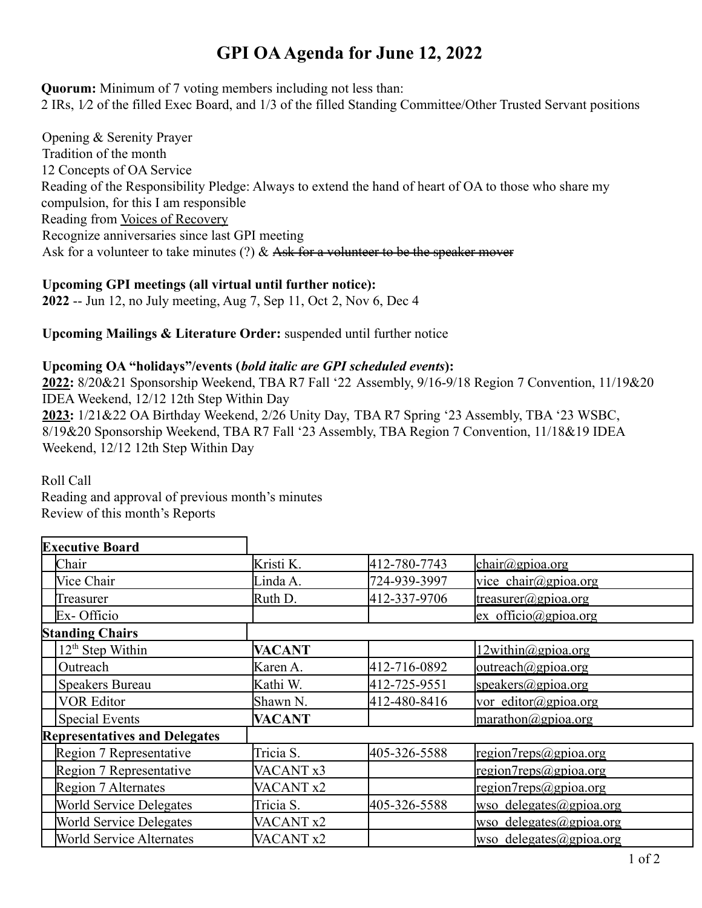# **GPI OAAgenda for June 12, 2022**

**Quorum:** Minimum of 7 voting members including not less than: 2 IRs, 1⁄2 of the filled Exec Board, and 1/3 of the filled Standing Committee/Other Trusted Servant positions

Opening & Serenity Prayer Tradition of the month 12 Concepts of OA Service Reading of the Responsibility Pledge: Always to extend the hand of heart of OA to those who share my compulsion, for this I am responsible Reading from Voices of Recovery Recognize anniversaries since last GPI meeting Ask for a volunteer to take minutes (?)  $\&$  Ask for a volunteer to be the speaker mover

### **Upcoming GPI meetings (all virtual until further notice):**

**2022** -- Jun 12, no July meeting, Aug 7, Sep 11, Oct 2, Nov 6, Dec 4

### **Upcoming Mailings & Literature Order:** suspended until further notice

#### **Upcoming OA "holidays"/events (***bold italic are GPI scheduled events***):**

**2022:** 8/20&21 Sponsorship Weekend, TBA R7 Fall '22 Assembly, 9/16-9/18 Region 7 Convention, 11/19&20 IDEA Weekend, 12/12 12th Step Within Day

**2023:** 1/21&22 OA Birthday Weekend, 2/26 Unity Day, TBA R7 Spring '23 Assembly, TBA '23 WSBC, 8/19&20 Sponsorship Weekend, TBA R7 Fall '23 Assembly, TBA Region 7 Convention, 11/18&19 IDEA Weekend, 12/12 12th Step Within Day

Roll Call

Reading and approval of previous month's minutes Review of this month's Reports

| <b>Executive Board</b>               |                      |              |                                            |
|--------------------------------------|----------------------|--------------|--------------------------------------------|
| Chair                                | Kristi K.            | 412-780-7743 | $chain(\omega)$ gpioa.org                  |
| Vice Chair                           | Linda A.             | 724-939-3997 | vice chair@gpioa.org                       |
| Treasurer                            | Ruth D.              | 412-337-9706 | $t$ reasurer@gpioa.org                     |
| Ex-Officio                           |                      |              | $ex$ officio@gpioa.org                     |
| <b>Standing Chairs</b>               |                      |              |                                            |
| $12th$ Step Within                   | <b>VACANT</b>        |              | $12$ within@gpioa.org                      |
| Outreach                             | Karen A.             | 412-716-0892 | outreach@gpioa.org                         |
| <b>Speakers Bureau</b>               | Kathi W.             | 412-725-9551 | speakers@gpioa.org                         |
| <b>VOR Editor</b>                    | Shawn N.             | 412-480-8416 | vor editor@gpioa.org                       |
| Special Events                       | VACANT               |              | $\text{marathon}\textcircled{a}$ gpioa.org |
| <b>Representatives and Delegates</b> |                      |              |                                            |
| Region 7 Representative              | Tricia S.            | 405-326-5588 | region7 reps@gpioa.org                     |
| Region 7 Representative              | VACANT <sub>x3</sub> |              | region7 reps@gpioa.org                     |
| Region 7 Alternates                  | VACANT <sub>x2</sub> |              | region7 reps@gpioa.org                     |
| <b>World Service Delegates</b>       | Tricia S.            | 405-326-5588 | wso delegates@gpioa.org                    |
| <b>World Service Delegates</b>       | VACANT <sub>x2</sub> |              | wso delegates@gpioa.org                    |
| <b>World Service Alternates</b>      | VACANT <sub>x2</sub> |              | wso delegates@gpioa.org                    |